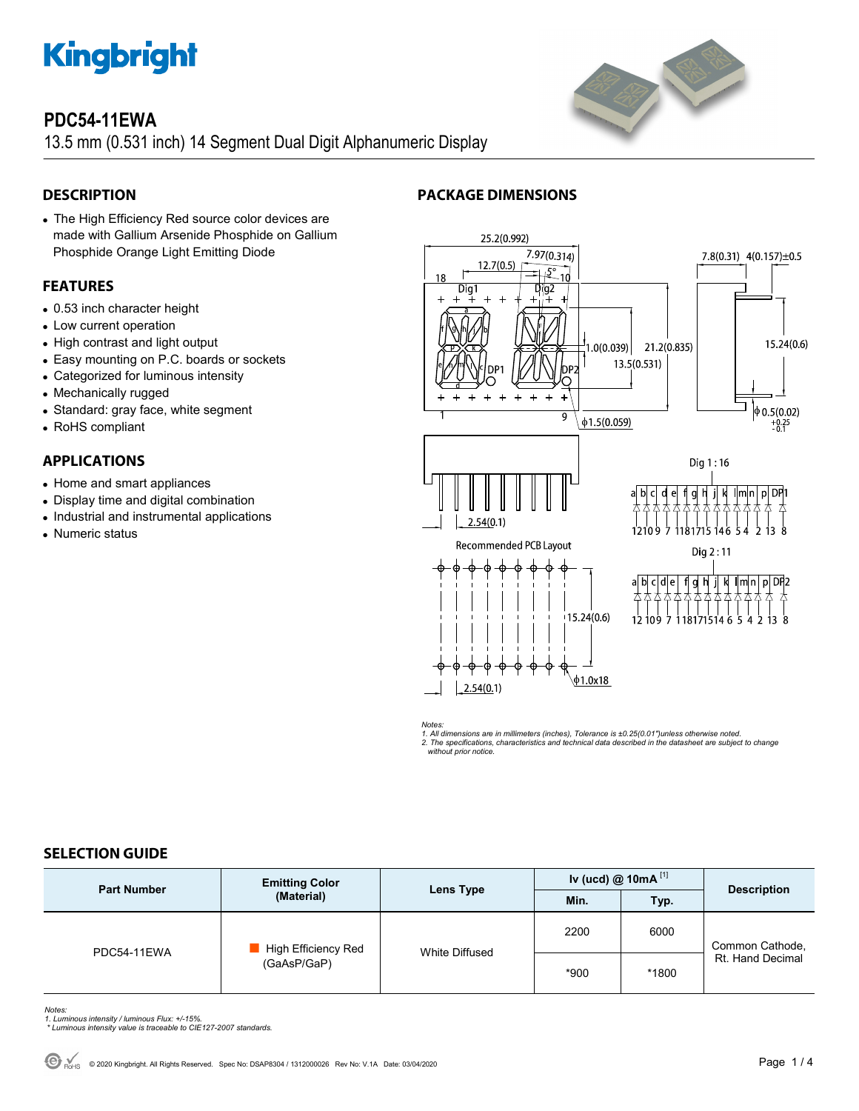

# **PDC54-11EWA**

13.5 mm (0.531 inch) 14 Segment Dual Digit Alphanumeric Display

# **DESCRIPTION**

 The High Efficiency Red source color devices are made with Gallium Arsenide Phosphide on Gallium Phosphide Orange Light Emitting Diode

# **FEATURES**

- 0.53 inch character height
- Low current operation
- High contrast and light output
- Easy mounting on P.C. boards or sockets
- Categorized for luminous intensity
- Mechanically rugged
- Standard: gray face, white segment
- RoHS compliant

# **APPLICATIONS**

- Home and smart appliances
- Display time and digital combination
- Industrial and instrumental applications
- Numeric status





Notes:<br>1. All dimensions are in millimeters (inches), Tolerance is ±0.25(0.01")unless otherwise noted.<br>2. The specifications, characteristics and technical data described in the datasheet are subject to change

 *without prior notice.* 

# **SELECTION GUIDE**

| <b>Part Number</b> | <b>Emitting Color</b><br>(Material) | Lens Type      | Iv (ucd) $@$ 10mA $^{[1]}$ |       | <b>Description</b>                  |
|--------------------|-------------------------------------|----------------|----------------------------|-------|-------------------------------------|
|                    |                                     |                | Min.                       | Typ.  |                                     |
| PDC54-11EWA        | High Efficiency Red<br>(GaAsP/GaP)  | White Diffused | 2200                       | 6000  | Common Cathode,<br>Rt. Hand Decimal |
|                    |                                     |                | $*900$                     | *1800 |                                     |

*Notes: 1. Luminous intensity / luminous Flux: +/-15%.* 

 *\* Luminous intensity value is traceable to CIE127-2007 standards.*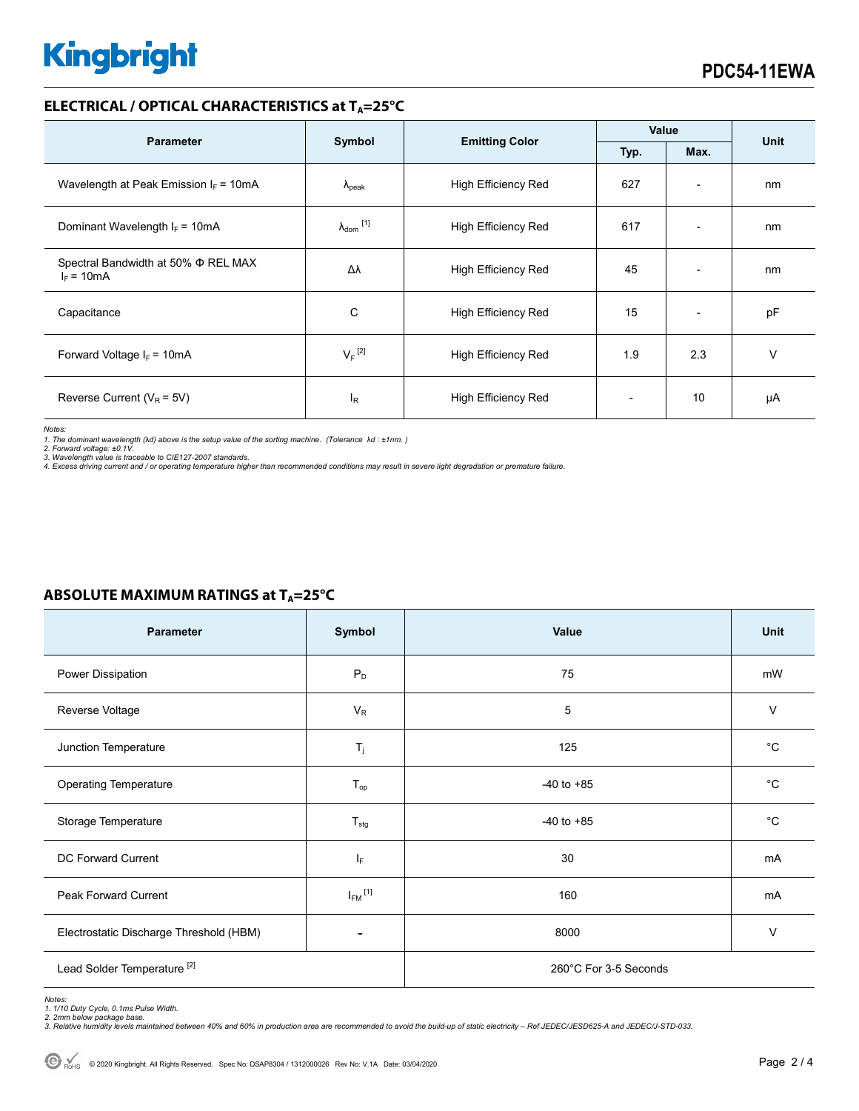# **Kingbright**

### **ELECTRICAL / OPTICAL CHARACTERISTICS at T<sub>A</sub>=25°C**

| <b>Parameter</b>                                    | Symbol                       |                            | Value |                          | <b>Unit</b> |
|-----------------------------------------------------|------------------------------|----------------------------|-------|--------------------------|-------------|
|                                                     |                              | <b>Emitting Color</b>      | Typ.  | Max.                     |             |
| Wavelength at Peak Emission $I_F = 10mA$            | $\Lambda_{\rm peak}$         | <b>High Efficiency Red</b> | 627   | $\overline{\phantom{a}}$ | nm          |
| Dominant Wavelength $I_F = 10mA$                    | $\lambda_{\mathsf{dom}}$ [1] | <b>High Efficiency Red</b> | 617   | $\overline{\phantom{0}}$ | nm          |
| Spectral Bandwidth at 50% Φ REL MAX<br>$I_F = 10mA$ | Δλ                           | <b>High Efficiency Red</b> | 45    | $\overline{\phantom{0}}$ | nm          |
| Capacitance                                         | С                            | High Efficiency Red        | 15    | $\overline{\phantom{0}}$ | pF          |
| Forward Voltage $I_F$ = 10mA                        | $V_F$ <sup>[2]</sup>         | <b>High Efficiency Red</b> | 1.9   | 2.3                      | v           |
| Reverse Current ( $V_R$ = 5V)                       | $I_R$                        | <b>High Efficiency Red</b> |       | 10                       | μA          |

*Notes:* 

1. The dominant wavelength (λd) above is the setup value of the sorting machine. (Tolerance λd : ±1nm. )<br>2. Forward voltage: ±0.1V.<br>3. Wavelength value is traceable to CIE127-2007 standards.

*4. Excess driving current and / or operating temperature higher than recommended conditions may result in severe light degradation or premature failure.* 

| <b>Parameter</b>                        | Symbol                  | Value                 | Unit        |  |
|-----------------------------------------|-------------------------|-----------------------|-------------|--|
| Power Dissipation                       | $P_D$                   | 75                    | mW          |  |
| Reverse Voltage                         | $V_R$                   | 5                     | $\vee$      |  |
| Junction Temperature                    | $T_j$                   | 125                   | $^{\circ}C$ |  |
| <b>Operating Temperature</b>            | $T_{op}$                | $-40$ to $+85$        | $^{\circ}C$ |  |
| Storage Temperature                     | $T_{\text{stg}}$        | $-40$ to $+85$        | $^{\circ}C$ |  |
| DC Forward Current                      | IF.                     | 30                    | mA          |  |
| <b>Peak Forward Current</b>             | $I_{FM}$ <sup>[1]</sup> | 160                   | mA          |  |
| Electrostatic Discharge Threshold (HBM) |                         | 8000                  | $\vee$      |  |
| Lead Solder Temperature <sup>[2]</sup>  |                         | 260°C For 3-5 Seconds |             |  |

### **ABSOLUTE MAXIMUM RATINGS at T<sub>A</sub>=25°C**

*2. 2mm below package base. 3. Relative humidity levels maintained between 40% and 60% in production area are recommended to avoid the build-up of static electricity – Ref JEDEC/JESD625-A and JEDEC/J-STD-033.* 

*Notes: 1. 1/10 Duty Cycle, 0.1ms Pulse Width.*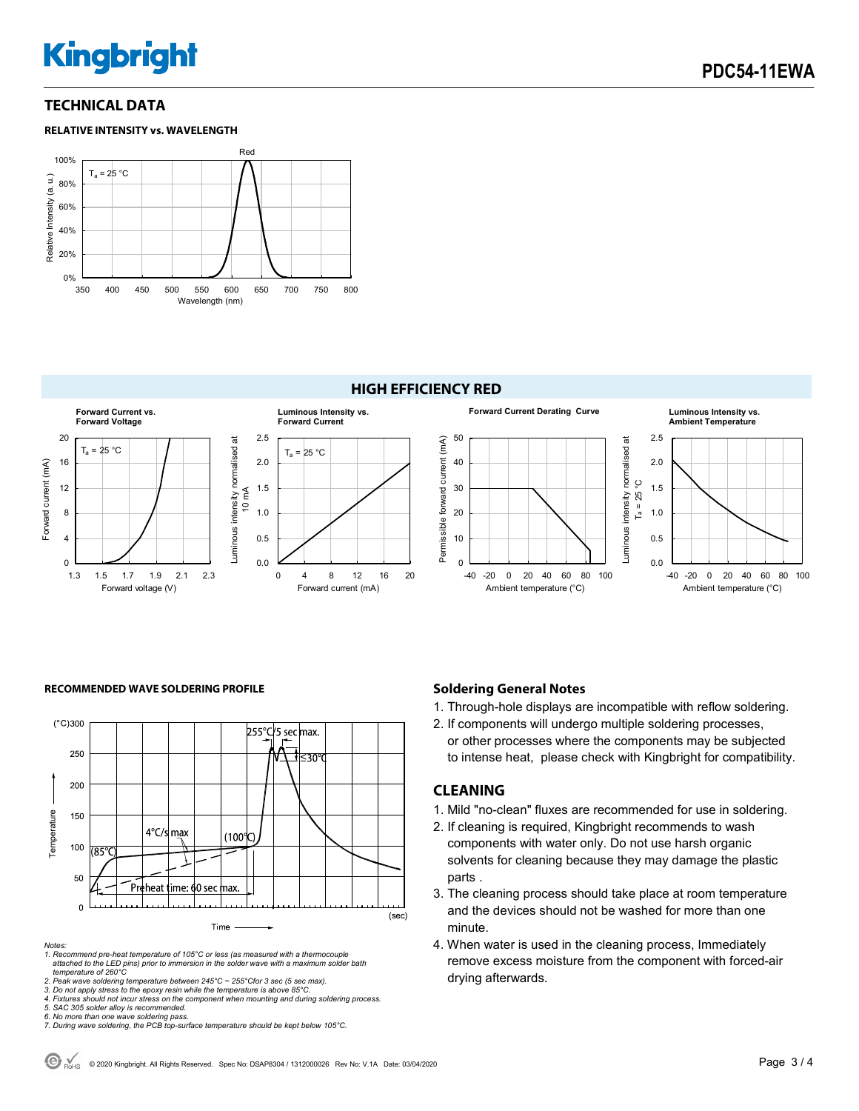# **Kingbright**

# **TECHNICAL DATA**

#### **RELATIVE INTENSITY vs. WAVELENGTH**





#### **RECOMMENDED WAVE SOLDERING PROFILE <b>A CONDUCT A CONDUCT SOLDERING PROFILE Soldering General Notes**



#### *Notes:*

*1. Recommend pre-heat temperature of 105°C or less (as measured with a thermocouple attached to the LED pins) prior to immersion in the solder wave with a maximum solder bath temperature of 260°C* 

2. Peak wave soldering temperature between 245°C ~ 255°Cfor 3 sec (5 sec max).<br>3. Do not apply stress to the epoxy resin while the temperature is above 85°C.<br>4. Fixtures should not incur stress on the component when mounti

*5. SAC 305 solder alloy is recommended.* 

*6. No more than one wave soldering pass. 7. During wave soldering, the PCB top-surface temperature should be kept below 105°C.*

1. Through-hole displays are incompatible with reflow soldering.

2. If components will undergo multiple soldering processes, or other processes where the components may be subjected to intense heat, please check with Kingbright for compatibility.

#### **CLEANING**

- 1. Mild "no-clean" fluxes are recommended for use in soldering.
- 2. If cleaning is required, Kingbright recommends to wash components with water only. Do not use harsh organic solvents for cleaning because they may damage the plastic parts .
- 3. The cleaning process should take place at room temperature and the devices should not be washed for more than one minute.
- 4. When water is used in the cleaning process, Immediately remove excess moisture from the component with forced-air drying afterwards.